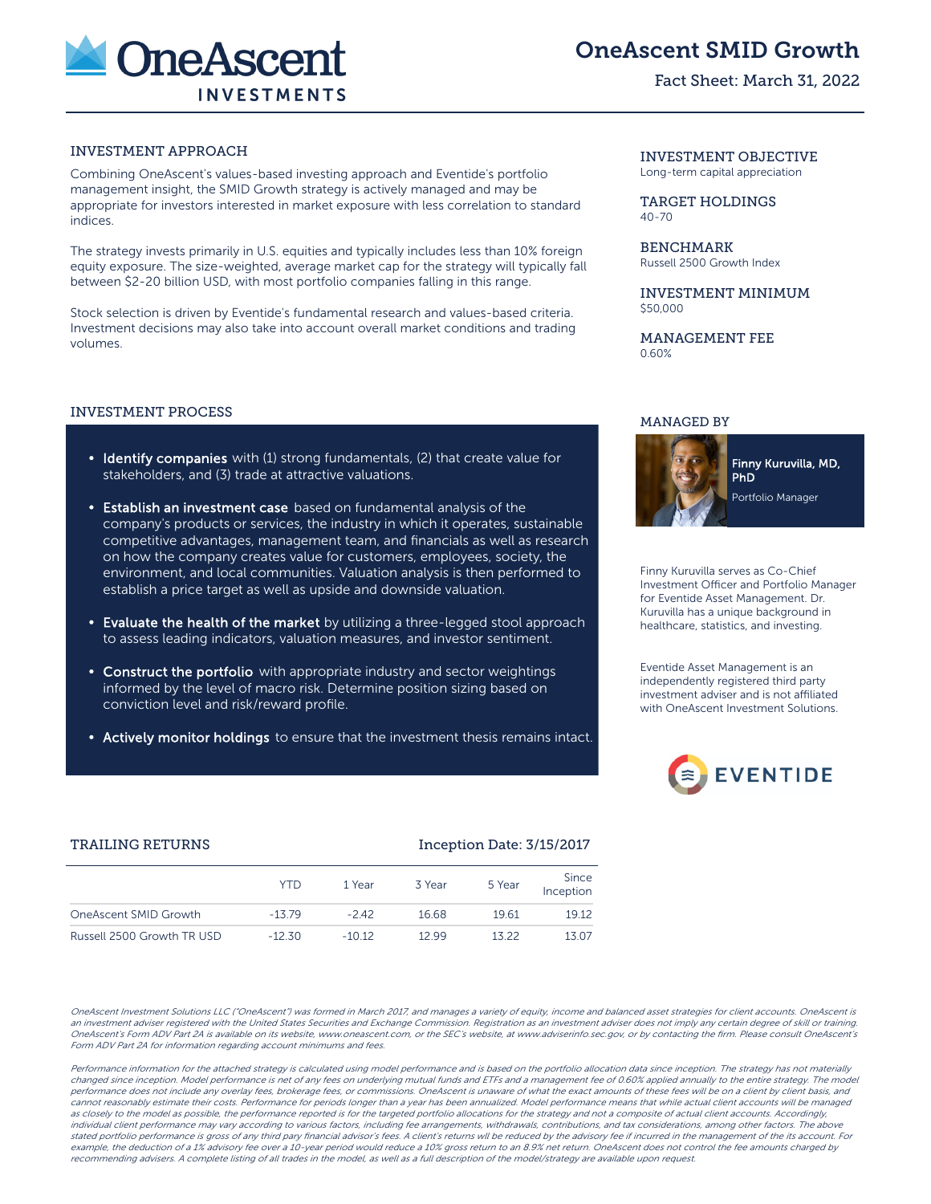

# OneAscent SMID Growth

# Fact Sheet: March 31, 2022

# INVESTMENT APPROACH

Combining OneAscent's values-based investing approach and Eventide's portfolio management insight, the SMID Growth strategy is actively managed and may be appropriate for investors interested in market exposure with less correlation to standard indices.

The strategy invests primarily in U.S. equities and typically includes less than 10% foreign equity exposure. The size-weighted, average market cap for the strategy will typically fall between \$2-20 billion USD, with most portfolio companies falling in this range.

Stock selection is driven by Eventide's fundamental research and values-based criteria. Investment decisions may also take into account overall market conditions and trading volumes.

#### INVESTMENT PROCESS

- Identify companies with (1) strong fundamentals, (2) that create value for stakeholders, and (3) trade at attractive valuations.
- Establish an investment case based on fundamental analysis of the company's products or services, the industry in which it operates, sustainable competitive advantages, management team, and financials as well as research on how the company creates value for customers, employees, society, the environment, and local communities. Valuation analysis is then performed to establish a price target as well as upside and downside valuation.
- Evaluate the health of the market by utilizing a three-legged stool approach to assess leading indicators, valuation measures, and investor sentiment.
- Construct the portfolio with appropriate industry and sector weightings informed by the level of macro risk. Determine position sizing based on conviction level and risk/reward profile.
- Actively monitor holdings to ensure that the investment thesis remains intact.

INVESTMENT OBJECTIVE Long-term capital appreciation

TARGET HOLDINGS 40-70

**BENCHMARK** Russell 2500 Growth Index

INVESTMENT MINIMUM \$50,000

MANAGEMENT FEE 0.60%

#### MANAGED BY



Finny Kuruvilla serves as Co-Chief Investment Officer and Portfolio Manager for Eventide Asset Management. Dr. Kuruvilla has a unique background in healthcare, statistics, and investing.

Eventide Asset Management is an independently registered third party investment adviser and is not affiliated with OneAscent Investment Solutions.



# TRAILING RETURNS **Inception Date: 3/15/2017**

|                            | YTD.     | 1 Year  | 3 Year | 5 Year | Since<br>Inception |
|----------------------------|----------|---------|--------|--------|--------------------|
| OneAscent SMID Growth      | $-1379$  | $-242$  | 16.68  | 19.61  | 19.12              |
| Russell 2500 Growth TR USD | $-12.30$ | $-1012$ | 12.99  | 13.22  | 13.07              |

OneAscent Investment Solutions LLC ("OneAscent") was formed in March 2017, and manages a variety of equity, income and balanced asset strategies for client accounts. OneAscent is an investment adviser registered with the United States Securities and Exchange Commission. Registration as an investment adviser does not imply any certain degree of skill or training. OneAscent's Form ADV Part 2A is available on its website, www.oneascent.com, or the SEC's website, at www.adviserinfo.sec.gov, or by contacting the firm. Please consult OneAscent's Form ADV Part 2A for information regarding account minimums and fees.

Performance information for the attached strategy is calculated using model performance and is based on the portfolio allocation data since inception. The strategy has not materially changed since inception. Model performance is net of any fees on underlying mutual funds and ETFs and a management fee of 0.60% applied annually to the entire strategy. The model performance does not include any overlay fees, brokerage fees, or commissions. OneAscent is unaware of what the exact amounts of these fees will be on a client by client basis, and cannot reasonably estimate their costs. Performance for periods longer than a year has been annualized. Model performance means that while actual client accounts will be managed as closely to the model as possible, the performance reported is for the targeted portfolio allocations for the strategy and not a composite of actual client accounts. Accordingly, individual client performance may vary according to various factors, including fee arrangements, withdrawals, contributions, and tax considerations, among other factors. The above stated portfolio performance is gross of any third pary financial advisor's fees. A client's returns wll be reduced by the advisory fee if incurred in the management of the its account. For example, the deduction of a 1% advisory fee over a 10-year period would reduce a 10% gross return to an 8.9% net return. OneAscent does not control the fee amounts charged by recommending advisers. A complete listing of all trades in the model, as well as a full description of the model/strategy are available upon request.